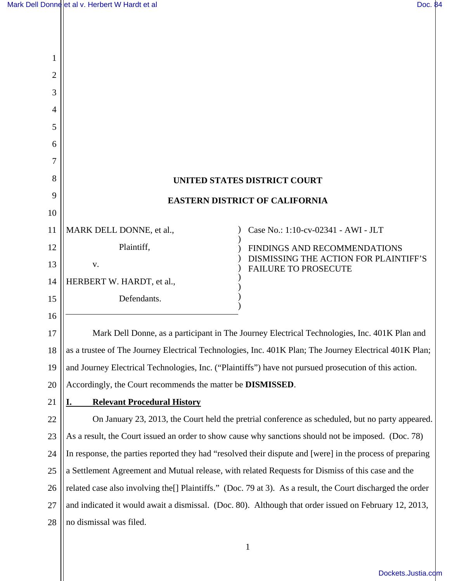$\mathsf{l}\mathsf{l}$ 

| 1              |                                                                                                             |                                                                      |
|----------------|-------------------------------------------------------------------------------------------------------------|----------------------------------------------------------------------|
| $\overline{2}$ |                                                                                                             |                                                                      |
| 3              |                                                                                                             |                                                                      |
| 4              |                                                                                                             |                                                                      |
| 5              |                                                                                                             |                                                                      |
| 6              |                                                                                                             |                                                                      |
| 7              |                                                                                                             |                                                                      |
| 8              | UNITED STATES DISTRICT COURT                                                                                |                                                                      |
| 9              | <b>EASTERN DISTRICT OF CALIFORNIA</b>                                                                       |                                                                      |
| 10             |                                                                                                             |                                                                      |
| 11             | MARK DELL DONNE, et al.,                                                                                    | Case No.: 1:10-cv-02341 - AWI - JLT                                  |
| 12             | Plaintiff,                                                                                                  | FINDINGS AND RECOMMENDATIONS                                         |
| 13             | V.                                                                                                          | DISMISSING THE ACTION FOR PLAINTIFF'S<br><b>FAILURE TO PROSECUTE</b> |
| 14             | HERBERT W. HARDT, et al.,                                                                                   |                                                                      |
| 15             | Defendants.                                                                                                 |                                                                      |
| 16             |                                                                                                             |                                                                      |
| 17             | Mark Dell Donne, as a participant in The Journey Electrical Technologies, Inc. 401K Plan and                |                                                                      |
| 18             | as a trustee of The Journey Electrical Technologies, Inc. 401K Plan; The Journey Electrical 401K Plan;      |                                                                      |
| 19             | and Journey Electrical Technologies, Inc. ("Plaintiffs") have not pursued prosecution of this action.       |                                                                      |
| 20             | Accordingly, the Court recommends the matter be <b>DISMISSED</b> .                                          |                                                                      |
| 21             | <b>Relevant Procedural History</b><br>ı.                                                                    |                                                                      |
| 22             | On January 23, 2013, the Court held the pretrial conference as scheduled, but no party appeared.            |                                                                      |
| 23             | As a result, the Court issued an order to show cause why sanctions should not be imposed. (Doc. 78)         |                                                                      |
| 24             | In response, the parties reported they had "resolved their dispute and [were] in the process of preparing   |                                                                      |
| 25             | a Settlement Agreement and Mutual release, with related Requests for Dismiss of this case and the           |                                                                      |
| 26             | related case also involving the [] Plaintiffs." (Doc. 79 at 3). As a result, the Court discharged the order |                                                                      |
| 27             | and indicated it would await a dismissal. (Doc. 80). Although that order issued on February 12, 2013,       |                                                                      |
| 28             | no dismissal was filed.                                                                                     |                                                                      |
|                |                                                                                                             |                                                                      |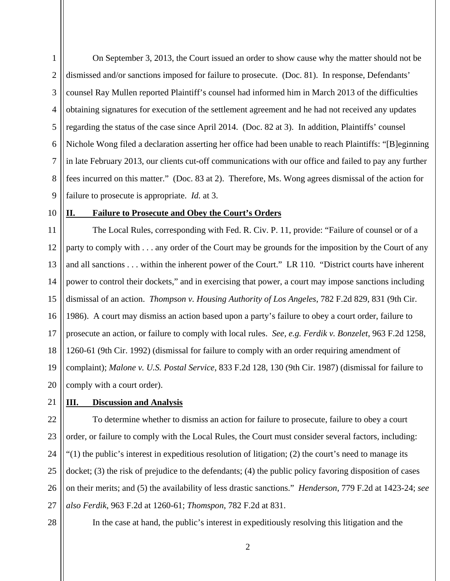1 2 3 4 5 6 7 8 9 On September 3, 2013, the Court issued an order to show cause why the matter should not be dismissed and/or sanctions imposed for failure to prosecute. (Doc. 81). In response, Defendants' counsel Ray Mullen reported Plaintiff's counsel had informed him in March 2013 of the difficulties obtaining signatures for execution of the settlement agreement and he had not received any updates regarding the status of the case since April 2014. (Doc. 82 at 3). In addition, Plaintiffs' counsel Nichole Wong filed a declaration asserting her office had been unable to reach Plaintiffs: "[B]eginning in late February 2013, our clients cut-off communications with our office and failed to pay any further fees incurred on this matter." (Doc. 83 at 2). Therefore, Ms. Wong agrees dismissal of the action for failure to prosecute is appropriate. *Id.* at 3.

10

## **II. Failure to Prosecute and Obey the Court's Orders**

11 12 13 14 15 16 17 18 19 20 The Local Rules, corresponding with Fed. R. Civ. P. 11, provide: "Failure of counsel or of a party to comply with . . . any order of the Court may be grounds for the imposition by the Court of any and all sanctions . . . within the inherent power of the Court." LR 110. "District courts have inherent power to control their dockets," and in exercising that power, a court may impose sanctions including dismissal of an action. *Thompson v. Housing Authority of Los Angeles*, 782 F.2d 829, 831 (9th Cir. 1986). A court may dismiss an action based upon a party's failure to obey a court order, failure to prosecute an action, or failure to comply with local rules. *See, e.g. Ferdik v. Bonzelet*, 963 F.2d 1258, 1260-61 (9th Cir. 1992) (dismissal for failure to comply with an order requiring amendment of complaint); *Malone v. U.S. Postal Service*, 833 F.2d 128, 130 (9th Cir. 1987) (dismissal for failure to comply with a court order).

21

## **III. Discussion and Analysis**

22 23 24 25 26 27 To determine whether to dismiss an action for failure to prosecute, failure to obey a court order, or failure to comply with the Local Rules, the Court must consider several factors, including: "(1) the public's interest in expeditious resolution of litigation; (2) the court's need to manage its docket; (3) the risk of prejudice to the defendants; (4) the public policy favoring disposition of cases on their merits; and (5) the availability of less drastic sanctions." *Henderson*, 779 F.2d at 1423-24; *see also Ferdik*, 963 F.2d at 1260-61; *Thomspon*, 782 F.2d at 831.

28

In the case at hand, the public's interest in expeditiously resolving this litigation and the